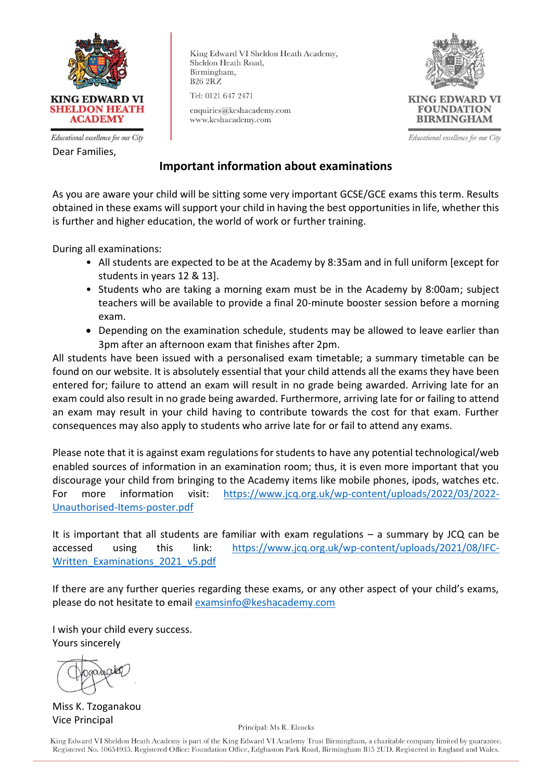

Educational excellence for our City Dear Families,

King Edward VI Sheldon Heath Academy, Sheldon Heath Road, Birmingham, **B26 2RZ** 

Tel: 0121 647 2471

enquiries@keshacademy.com www.keshacademy.com



Educational excellence for our City

## **Important information about examinations**

As you are aware your child will be sitting some very important GCSE/GCE exams this term. Results obtained in these exams will support your child in having the best opportunities in life, whether this is further and higher education, the world of work or further training.

During all examinations:

- All students are expected to be at the Academy by 8:35am and in full uniform [except for students in years 12 & 13].
- Students who are taking a morning exam must be in the Academy by 8:00am; subject teachers will be available to provide a final 20-minute booster session before a morning exam.
- Depending on the examination schedule, students may be allowed to leave earlier than 3pm after an afternoon exam that finishes after 2pm.

All students have been issued with a personalised exam timetable; a summary timetable can be found on our website. It is absolutely essential that your child attends all the exams they have been entered for; failure to attend an exam will result in no grade being awarded. Arriving late for an exam could also result in no grade being awarded. Furthermore, arriving late for or failing to attend an exam may result in your child having to contribute towards the cost for that exam. Further consequences may also apply to students who arrive late for or fail to attend any exams.

Please note that it is against exam regulations for students to have any potential technological/web enabled sources of information in an examination room; thus, it is even more important that you discourage your child from bringing to the Academy items like mobile phones, ipods, watches etc. For more information visit: [https://www.jcq.org.uk/wp-content/uploads/2022/03/2022-](https://www.jcq.org.uk/wp-content/uploads/2022/03/2022-Unauthorised-Items-poster.pdf) [Unauthorised-Items-poster.pdf](https://www.jcq.org.uk/wp-content/uploads/2022/03/2022-Unauthorised-Items-poster.pdf)

It is important that all students are familiar with exam regulations – a summary by JCQ can be accessed using this link: [https://www.jcq.org.uk/wp-content/uploads/2021/08/IFC-](https://www.jcq.org.uk/wp-content/uploads/2021/08/IFC-Written_Examinations_2021_v5.pdf)[Written\\_Examinations\\_2021\\_v5.pdf](https://www.jcq.org.uk/wp-content/uploads/2021/08/IFC-Written_Examinations_2021_v5.pdf)

If there are any further queries regarding these exams, or any other aspect of your child's exams, please do not hesitate to email [examsinfo@keshacademy.com](mailto:examsinfo@keshacademy.com)

I wish your child every success. Yours sincerely

Miss K. Tzoganakou Vice Principal

Principal: Ms R. Elcocks

King Edward VI Sheldon Heath Academy is part of the King Edward VI Academy Trust Birmingham, a charitable company limited by guarantee. Registered No. 10654935. Registered Office: Foundation Office, Edgbaston Park Road, Birmingham B15 2UD. Registered in England and Wales.